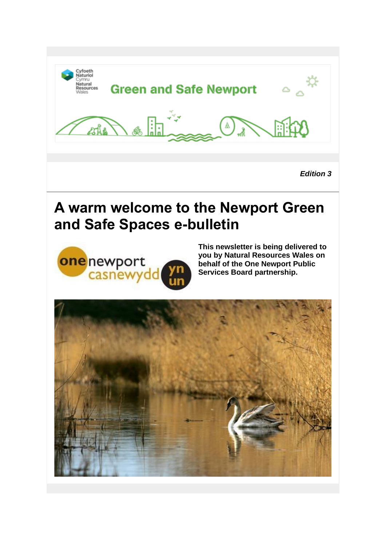

*Edition 3*

# **A warm welcome to the Newport Green and Safe Spaces e-bulletin**



**This newsletter is being delivered to you by Natural Resources Wales on behalf of the One Newport Public Services Board partnership.**

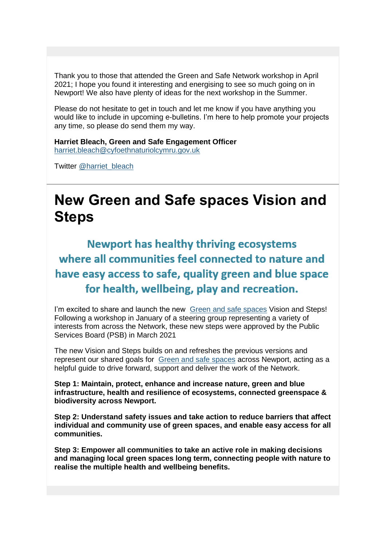Thank you to those that attended the Green and Safe Network workshop in April 2021; I hope you found it interesting and energising to see so much going on in Newport! We also have plenty of ideas for the next workshop in the Summer.

Please do not hesitate to get in touch and let me know if you have anything you would like to include in upcoming e-bulletins. I'm here to help promote your projects any time, so please do send them my way.

**Harriet Bleach, Green and Safe Engagement Officer**  [harriet.bleach@cyfoethnaturiolcymru.gov.uk](mailto:harriet.bleach@cyfoethnaturiolcymru.gov.uk)

Twitter [@harriet\\_bleach](https://lnks.gd/l/eyJhbGciOiJIUzI1NiJ9.eyJidWxsZXRpbl9saW5rX2lkIjoxMDAsInVyaSI6ImJwMjpjbGljayIsImJ1bGxldGluX2lkIjoiMjAyMTA1MTguNDA2MzA0MDEiLCJ1cmwiOiJodHRwczovL3R3aXR0ZXIuY29tL2hhcnJpZXRfYmxlYWNoP3V0bV9tZWRpdW09ZW1haWwmdXRtX3NvdXJjZT1nb3ZkZWxpdmVyeSJ9.pABHl23VQcm5ZL5xDsA2lwKevZzB0wj1h_3Jj0fIWmI/s/1296261428/br/106512169032-l)

# **New Green and Safe spaces Vision and Steps**

**Newport has healthy thriving ecosystems** where all communities feel connected to nature and have easy access to safe, quality green and blue space for health, wellbeing, play and recreation.

I'm excited to share and launch the new [Green and safe spaces](https://lnks.gd/l/eyJhbGciOiJIUzI1NiJ9.eyJidWxsZXRpbl9saW5rX2lkIjoxMDEsInVyaSI6ImJwMjpjbGljayIsImJ1bGxldGluX2lkIjoiMjAyMTA1MTguNDA2MzA0MDEiLCJ1cmwiOiJodHRwczovL3d3dy5uZXdwb3J0Lmdvdi51ay9vbmVOZXdwb3J0L1dlbGwtYmVpbmctUGxhbi9HcmVlbi1hbmQtc2FmZS1zcGFjZXMuYXNweD91dG1fbWVkaXVtPWVtYWlsJnV0bV9zb3VyY2U9Z292ZGVsaXZlcnkifQ.S1PokFetlHN_Qzj2bfxNFwJKlxPl6t3W18Z-QnIVRYM/s/1296261428/br/106512169032-l) Vision and Steps! Following a workshop in January of a steering group representing a variety of interests from across the Network, these new steps were approved by the Public Services Board (PSB) in March 2021

The new Vision and Steps builds on and refreshes the previous versions and represent our shared goals for [Green and safe spaces](https://lnks.gd/l/eyJhbGciOiJIUzI1NiJ9.eyJidWxsZXRpbl9saW5rX2lkIjoxMDIsInVyaSI6ImJwMjpjbGljayIsImJ1bGxldGluX2lkIjoiMjAyMTA1MTguNDA2MzA0MDEiLCJ1cmwiOiJodHRwczovL3d3dy5uZXdwb3J0Lmdvdi51ay9vbmVOZXdwb3J0L1dlbGwtYmVpbmctUGxhbi9HcmVlbi1hbmQtc2FmZS1zcGFjZXMuYXNweD91dG1fbWVkaXVtPWVtYWlsJnV0bV9zb3VyY2U9Z292ZGVsaXZlcnkifQ.9iCqKkl59H2rwnxFCMwfXccPvHaH51CdPdMcjvpwGHo/s/1296261428/br/106512169032-l) across Newport, acting as a helpful guide to drive forward, support and deliver the work of the Network.

**Step 1: Maintain, protect, enhance and increase nature, green and blue infrastructure, health and resilience of ecosystems, connected greenspace & biodiversity across Newport.**

**Step 2: Understand safety issues and take action to reduce barriers that affect individual and community use of green spaces, and enable easy access for all communities.**

**Step 3: Empower all communities to take an active role in making decisions and managing local green spaces long term, connecting people with nature to realise the multiple health and wellbeing benefits.**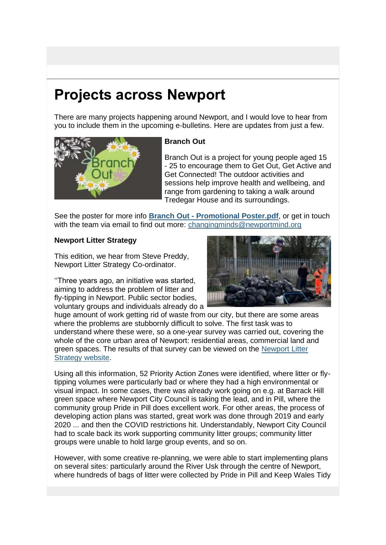# **Projects across Newport**

There are many projects happening around Newport, and I would love to hear from you to include them in the upcoming e-bulletins. Here are updates from just a few.



#### **Branch Out**

Branch Out is a project for young people aged 15 - 25 to encourage them to Get Out, Get Active and Get Connected! The outdoor activities and sessions help improve health and wellbeing, and range from gardening to taking a walk around Tredegar House and its surroundings.

See the poster for more info **Branch Out - [Promotional Poster.pdf](https://lnks.gd/l/eyJhbGciOiJIUzI1NiJ9.eyJidWxsZXRpbl9saW5rX2lkIjoxMDQsInVyaSI6ImJwMjpjbGljayIsImJ1bGxldGluX2lkIjoiMjAyMTA1MTguNDA2MzA0MDEiLCJ1cmwiOiJodHRwczovL2NvbnRlbnQuZ292ZGVsaXZlcnkuY29tL2F0dGFjaG1lbnRzL1VLTlJXLzIwMjEvMDUvMTAvZmlsZV9hdHRhY2htZW50cy8xODAzMDYyL0JyYW5jaCUyME91dCUyMC0lMjBQcm9tb3Rpb25hbCUyMFBvc3Rlci5wZGYifQ.YDTaPg8pkYzuH9H4XeXVorCPXSEaPloL5ZhgUwnFT5g/s/1296261428/br/106512169032-l)**, or get in touch with the team via email to find out more: changing minds@newportmind.org

#### **Newport Litter Strategy**

This edition, we hear from Steve Preddy, Newport Litter Strategy Co-ordinator.

''Three years ago, an initiative was started, aiming to address the problem of litter and fly-tipping in Newport. Public sector bodies, voluntary groups and individuals already do a



huge amount of work getting rid of waste from our city, but there are some areas where the problems are stubbornly difficult to solve. The first task was to understand where these were, so a one-year survey was carried out, covering the whole of the core urban area of Newport: residential areas, commercial land and green spaces. The results of that survey can be viewed on the [Newport Litter](https://lnks.gd/l/eyJhbGciOiJIUzI1NiJ9.eyJidWxsZXRpbl9saW5rX2lkIjoxMDUsInVyaSI6ImJwMjpjbGljayIsImJ1bGxldGluX2lkIjoiMjAyMTA1MTguNDA2MzA0MDEiLCJ1cmwiOiJodHRwczovL25ld3BvcnRsaXR0ZXIud29yZHByZXNzLmNvbS8_dXRtX21lZGl1bT1lbWFpbCZ1dG1fc291cmNlPWdvdmRlbGl2ZXJ5In0.Zx--ndICZPxi9Ox_q1ny6ZUum85tWGdok65_6dgrt3s/s/1296261428/br/106512169032-l)  [Strategy website.](https://lnks.gd/l/eyJhbGciOiJIUzI1NiJ9.eyJidWxsZXRpbl9saW5rX2lkIjoxMDUsInVyaSI6ImJwMjpjbGljayIsImJ1bGxldGluX2lkIjoiMjAyMTA1MTguNDA2MzA0MDEiLCJ1cmwiOiJodHRwczovL25ld3BvcnRsaXR0ZXIud29yZHByZXNzLmNvbS8_dXRtX21lZGl1bT1lbWFpbCZ1dG1fc291cmNlPWdvdmRlbGl2ZXJ5In0.Zx--ndICZPxi9Ox_q1ny6ZUum85tWGdok65_6dgrt3s/s/1296261428/br/106512169032-l)

Using all this information, 52 Priority Action Zones were identified, where litter or flytipping volumes were particularly bad or where they had a high environmental or visual impact. In some cases, there was already work going on e.g. at Barrack Hill green space where Newport City Council is taking the lead, and in Pill, where the community group Pride in Pill does excellent work. For other areas, the process of developing action plans was started, great work was done through 2019 and early 2020 ... and then the COVID restrictions hit. Understandably, Newport City Council had to scale back its work supporting community litter groups; community litter groups were unable to hold large group events, and so on.

However, with some creative re-planning, we were able to start implementing plans on several sites: particularly around the River Usk through the centre of Newport, where hundreds of bags of litter were collected by Pride in Pill and Keep Wales Tidy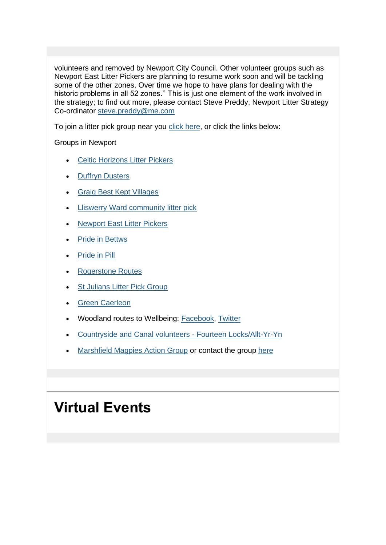volunteers and removed by Newport City Council. Other volunteer groups such as Newport East Litter Pickers are planning to resume work soon and will be tackling some of the other zones. Over time we hope to have plans for dealing with the historic problems in all 52 zones.'' This is just one element of the work involved in the strategy; to find out more, please contact Steve Preddy, Newport Litter Strategy Co-ordinator [steve.preddy@me.com](mailto:steve.preddy@me.com)

To join a litter pick group near you [click here,](https://lnks.gd/l/eyJhbGciOiJIUzI1NiJ9.eyJidWxsZXRpbl9saW5rX2lkIjoxMDYsInVyaSI6ImJwMjpjbGljayIsImJ1bGxldGluX2lkIjoiMjAyMTA1MTguNDA2MzA0MDEiLCJ1cmwiOiJodHRwczovL3d3dy5uZXdwb3J0Lmdvdi51ay9lbi9XYXN0ZS1SZWN5Y2xpbmcvTGl0dGVyLXBpY2tpbmcvTGl0dGVyLVBpY2tpbmctSHVicy5hc3B4P3V0bV9tZWRpdW09ZW1haWwmdXRtX3NvdXJjZT1nb3ZkZWxpdmVyeSJ9.ZNR1m5bUXL_YGd05JEymjWCH3BHDPDUlm_3H8Ty43pE/s/1296261428/br/106512169032-l) or click the links below:

Groups in Newport

- **[Celtic Horizons Litter Pickers](https://lnks.gd/l/eyJhbGciOiJIUzI1NiJ9.eyJidWxsZXRpbl9saW5rX2lkIjoxMDcsInVyaSI6ImJwMjpjbGljayIsImJ1bGxldGluX2lkIjoiMjAyMTA1MTguNDA2MzA0MDEiLCJ1cmwiOiJodHRwczovL3R3aXR0ZXIuY29tL0NlbHRpY0xpdHRlcj91dG1fbWVkaXVtPWVtYWlsJnV0bV9zb3VyY2U9Z292ZGVsaXZlcnkifQ.GYJwepmF3Dc3JUPFRFjKFQbGnhSzSfr1Pcgt877fn3c/s/1296261428/br/106512169032-l)**
- **[Duffryn Dusters](https://lnks.gd/l/eyJhbGciOiJIUzI1NiJ9.eyJidWxsZXRpbl9saW5rX2lkIjoxMDgsInVyaSI6ImJwMjpjbGljayIsImJ1bGxldGluX2lkIjoiMjAyMTA1MTguNDA2MzA0MDEiLCJ1cmwiOiJodHRwczovL3R3aXR0ZXIuY29tL0R1ZmZyeW5EdXN0ZXJzP3V0bV9tZWRpdW09ZW1haWwmdXRtX3NvdXJjZT1nb3ZkZWxpdmVyeSJ9.g2f71vs03LguOYqI8uUQrCbwa-8WJVS3XrGkMYDdH4U/s/1296261428/br/106512169032-l)**
- [Graig Best Kept Villages](https://lnks.gd/l/eyJhbGciOiJIUzI1NiJ9.eyJidWxsZXRpbl9saW5rX2lkIjoxMDksInVyaSI6ImJwMjpjbGljayIsImJ1bGxldGluX2lkIjoiMjAyMTA1MTguNDA2MzA0MDEiLCJ1cmwiOiJodHRwOi8vd3d3LmdyYWlnY2MuY28udWsvaW5kZXguYXNwP3BhZ2VpZD0yOTMwMzcmdXRtX21lZGl1bT1lbWFpbCZ1dG1fc291cmNlPWdvdmRlbGl2ZXJ5In0.gANA-7irqXlb9h0jS-_pggInRR4lXr34azbI8tt0DL4/s/1296261428/br/106512169032-l)
- [Lliswerry Ward community litter pick](https://lnks.gd/l/eyJhbGciOiJIUzI1NiJ9.eyJidWxsZXRpbl9saW5rX2lkIjoxMTAsInVyaSI6ImJwMjpjbGljayIsImJ1bGxldGluX2lkIjoiMjAyMTA1MTguNDA2MzA0MDEiLCJ1cmwiOiJodHRwczovL3R3aXR0ZXIuY29tL2xsaXN3ZXJyeXdhcmQ_bGFuZz1lbiZ1dG1fbWVkaXVtPWVtYWlsJnV0bV9zb3VyY2U9Z292ZGVsaXZlcnkifQ.-vSQQIa6Jf_cTc-yv59pjuQMAZmtkCmo4kBGfaIOwms/s/1296261428/br/106512169032-l)
- **[Newport East Litter Pickers](https://lnks.gd/l/eyJhbGciOiJIUzI1NiJ9.eyJidWxsZXRpbl9saW5rX2lkIjoxMTEsInVyaSI6ImJwMjpjbGljayIsImJ1bGxldGluX2lkIjoiMjAyMTA1MTguNDA2MzA0MDEiLCJ1cmwiOiJodHRwczovL3d3dy5ldmVudGJyaXRlLmNvLnVrL28vbmV3cG9ydC1lYXN0LWxpdHRlci1waWNrZXJzLTE0MTkxODQ3MzY1P3V0bV9tZWRpdW09ZW1haWwmdXRtX3NvdXJjZT1nb3ZkZWxpdmVyeSJ9.2anc7HXIkGWCnHcI_LQqU9sGUF6ZhKZHFTb0SJj-B2Q/s/1296261428/br/106512169032-l)**
- **[Pride in Bettws](https://lnks.gd/l/eyJhbGciOiJIUzI1NiJ9.eyJidWxsZXRpbl9saW5rX2lkIjoxMTIsInVyaSI6ImJwMjpjbGljayIsImJ1bGxldGluX2lkIjoiMjAyMTA1MTguNDA2MzA0MDEiLCJ1cmwiOiJodHRwczovL2VuLWdiLmZhY2Vib29rLmNvbS9ncm91cHMvNDI5ODI3NzU0NDI3Nzc3Lz91dG1fbWVkaXVtPWVtYWlsJnV0bV9zb3VyY2U9Z292ZGVsaXZlcnkifQ.vbEYa7a1Ti8TXPS2NFwgSn7kUvYHoAnlWgJ6WmV9zDw/s/1296261428/br/106512169032-l)**
- [Pride in Pill](https://lnks.gd/l/eyJhbGciOiJIUzI1NiJ9.eyJidWxsZXRpbl9saW5rX2lkIjoxMTMsInVyaSI6ImJwMjpjbGljayIsImJ1bGxldGluX2lkIjoiMjAyMTA1MTguNDA2MzA0MDEiLCJ1cmwiOiJodHRwczovL3R3aXR0ZXIuY29tL3ByaWRlaW5waWxsP3V0bV9tZWRpdW09ZW1haWwmdXRtX3NvdXJjZT1nb3ZkZWxpdmVyeSJ9._3gnFj7hDQWU2EgMWXl5aTcjWgGW7sKErR50ZmtvP0s/s/1296261428/br/106512169032-l)
- [Rogerstone Routes](https://lnks.gd/l/eyJhbGciOiJIUzI1NiJ9.eyJidWxsZXRpbl9saW5rX2lkIjoxMTQsInVyaSI6ImJwMjpjbGljayIsImJ1bGxldGluX2lkIjoiMjAyMTA1MTguNDA2MzA0MDEiLCJ1cmwiOiJodHRwczovL3d3dy5mYWNlYm9vay5jb20vUm9nZXJzdG9uZVJvdXRlcy8_dXRtX21lZGl1bT1lbWFpbCZ1dG1fc291cmNlPWdvdmRlbGl2ZXJ5In0.7Dy8ppZ2YllVpZHer1oTnO2zMTdoOpebUXOMOYL7XX0/s/1296261428/br/106512169032-l)
- **[St Julians Litter Pick Group](https://lnks.gd/l/eyJhbGciOiJIUzI1NiJ9.eyJidWxsZXRpbl9saW5rX2lkIjoxMTUsInVyaSI6ImJwMjpjbGljayIsImJ1bGxldGluX2lkIjoiMjAyMTA1MTguNDA2MzA0MDEiLCJ1cmwiOiJodHRwczovL3d3dy5mYWNlYm9vay5jb20vcGFnZXMvY2F0ZWdvcnkvSW50ZXJlc3QvU3RKdWxpYW5zLU1hdHRlcnMtTGl0dGVyLVBpY2stR3JvdXAtMjUxMTYwNDE1NzMwNzYxLz91dG1fbWVkaXVtPWVtYWlsJnV0bV9zb3VyY2U9Z292ZGVsaXZlcnkifQ.bp897uNMPQNly8Pcax1riJIkoM9rVvadBRoloqjQ-hY/s/1296261428/br/106512169032-l)**
- **[Green Caerleon](https://lnks.gd/l/eyJhbGciOiJIUzI1NiJ9.eyJidWxsZXRpbl9saW5rX2lkIjoxMTYsInVyaSI6ImJwMjpjbGljayIsImJ1bGxldGluX2lkIjoiMjAyMTA1MTguNDA2MzA0MDEiLCJ1cmwiOiJodHRwczovL3d3dy5mYWNlYm9vay5jb20vZ3JvdXBzLzMwNjQ2NzcxMTA0MjY1MjgvP3V0bV9tZWRpdW09ZW1haWwmdXRtX3NvdXJjZT1nb3ZkZWxpdmVyeSJ9.6lhLB--2wWdufIRqwEthv7hjRTK9pX9yOpCmvWkhBpw/s/1296261428/br/106512169032-l)**
- Woodland routes to Wellbeing: [Facebook,](https://lnks.gd/l/eyJhbGciOiJIUzI1NiJ9.eyJidWxsZXRpbl9saW5rX2lkIjoxMTcsInVyaSI6ImJwMjpjbGljayIsImJ1bGxldGluX2lkIjoiMjAyMTA1MTguNDA2MzA0MDEiLCJ1cmwiOiJodHRwczovL3d3dy5mYWNlYm9vay5jb20vd3J0dy5wcm9qZWN0Lz91dG1fbWVkaXVtPWVtYWlsJnV0bV9zb3VyY2U9Z292ZGVsaXZlcnkifQ.KEpsCYsLdzim7HgKKmTAiUwErsvah98xl_fNm3kQYrQ/s/1296261428/br/106512169032-l) [Twitter](https://lnks.gd/l/eyJhbGciOiJIUzI1NiJ9.eyJidWxsZXRpbl9saW5rX2lkIjoxMTgsInVyaSI6ImJwMjpjbGljayIsImJ1bGxldGluX2lkIjoiMjAyMTA1MTguNDA2MzA0MDEiLCJ1cmwiOiJodHRwczovL3R3aXR0ZXIuY29tL3dydHdfcHJvamVjdD91dG1fbWVkaXVtPWVtYWlsJnV0bV9zb3VyY2U9Z292ZGVsaXZlcnkifQ.jiDyvl7q8YBlRdsYHtALLMvdhTqGagAUrwVXyb3UeZU/s/1296261428/br/106512169032-l)
- [Countryside and Canal volunteers -](https://lnks.gd/l/eyJhbGciOiJIUzI1NiJ9.eyJidWxsZXRpbl9saW5rX2lkIjoxMTksInVyaSI6ImJwMjpjbGljayIsImJ1bGxldGluX2lkIjoiMjAyMTA1MTguNDA2MzA0MDEiLCJ1cmwiOiJodHRwOi8vd3d3Lm5ld3BvcnQuZ292LnVrL2VuL0xlaXN1cmUtVG91cmlzbS9Db3VudHJ5c2lkZS0tUGFya3MvVm9sdW50ZWVyLmFzcHg_dXRtX21lZGl1bT1lbWFpbCZ1dG1fc291cmNlPWdvdmRlbGl2ZXJ5In0.KMUC3kDX1GOFbWh_xnDNOno5STkarIn0tkZHFrzgDw4/s/1296261428/br/106512169032-l) Fourteen Locks/Allt-Yr-Yn
- [Marshfield Magpies Action Group](https://lnks.gd/l/eyJhbGciOiJIUzI1NiJ9.eyJidWxsZXRpbl9saW5rX2lkIjoxMjAsInVyaSI6ImJwMjpjbGljayIsImJ1bGxldGluX2lkIjoiMjAyMTA1MTguNDA2MzA0MDEiLCJ1cmwiOiJodHRwczovL3d3dy5rZWVwd2FsZXN0aWR5LmN5bXJ1L2NvbW11bml0eS1ncm91cHMtbWFwP3V0bV9tZWRpdW09ZW1haWwmdXRtX3NvdXJjZT1nb3ZkZWxpdmVyeSJ9.0S4yDb9aAsI_jcU-q4ZDTOk1dZLZ29CAPLMs0HUEK54/s/1296261428/br/106512169032-l) or contact the group [here](mailto:marshfieldactiongroup@hotmail.com)

# **Virtual Events**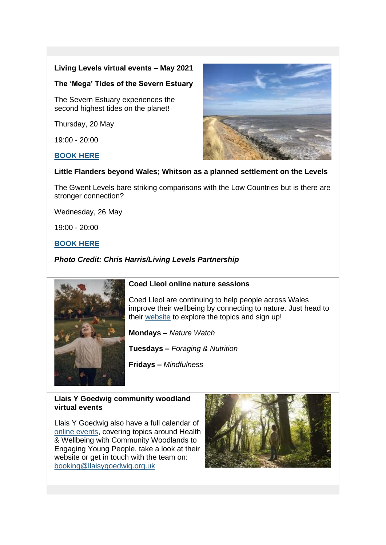#### **Living Levels virtual events – May 2021**

#### **The 'Mega' Tides of the Severn Estuary**

The Severn Estuary experiences the second highest tides on the planet!

Thursday, 20 May

19:00 - 20:00

#### **[BOOK HERE](https://lnks.gd/l/eyJhbGciOiJIUzI1NiJ9.eyJidWxsZXRpbl9saW5rX2lkIjoxMjEsInVyaSI6ImJwMjpjbGljayIsImJ1bGxldGluX2lkIjoiMjAyMTA1MTguNDA2MzA0MDEiLCJ1cmwiOiJodHRwczovL2JpdC5seS8zMlIxWUpUP3V0bV9tZWRpdW09ZW1haWwmdXRtX3NvdXJjZT1nb3ZkZWxpdmVyeSJ9.95yraSsAPJcdeTywj-6cjdxEjfequfkci8DRX659bZ0/s/1296261428/br/106512169032-l)**



#### **Little Flanders beyond Wales; Whitson as a planned settlement on the Levels**

The Gwent Levels bare striking comparisons with the Low Countries but is there are stronger connection?

Wednesday, 26 May

19:00 - 20:00

#### **[BOOK HERE](https://lnks.gd/l/eyJhbGciOiJIUzI1NiJ9.eyJidWxsZXRpbl9saW5rX2lkIjoxMjIsInVyaSI6ImJwMjpjbGljayIsImJ1bGxldGluX2lkIjoiMjAyMTA1MTguNDA2MzA0MDEiLCJ1cmwiOiJodHRwczovL2JpdC5seS8zdkE4WVliP3V0bV9tZWRpdW09ZW1haWwmdXRtX3NvdXJjZT1nb3ZkZWxpdmVyeSJ9._s25i9a_ztyGuYpDev5BI2H22A7Nz24lAaR5dcPRvHo/s/1296261428/br/106512169032-l)**

*Photo Credit: Chris Harris/Living Levels Partnership*



#### **Coed Lleol online nature sessions**

Coed Lleol are continuing to help people across Wales improve their wellbeing by connecting to nature. Just head to their [website](https://lnks.gd/l/eyJhbGciOiJIUzI1NiJ9.eyJidWxsZXRpbl9saW5rX2lkIjoxMjMsInVyaSI6ImJwMjpjbGljayIsImJ1bGxldGluX2lkIjoiMjAyMTA1MTguNDA2MzA0MDEiLCJ1cmwiOiJodHRwczovL3d3dy5zbWFsbHdvb2RzLm9yZy51ay9lbi9jb2VkbGxlb2wvYWR2aWNlLWFuZC1pbmZvL2NvdmlkMTkvb25saW5lLW5hdHVyZS1zZXNzaW9ucy8_dXRtX21lZGl1bT1lbWFpbCZ1dG1fc291cmNlPWdvdmRlbGl2ZXJ5In0.T9K4TYKEIuTjVtOpSpX32wrBRSjVjhEn3WD4ohB3vEs/s/1296261428/br/106512169032-l) to explore the topics and sign up!

**Mondays –** *Nature Watch*

**Tuesdays –** *Foraging & Nutrition*

**Fridays –** *Mindfulness*

#### **Llais Y Goedwig community woodland virtual events**

Llais Y Goedwig also have a full calendar of [online events,](https://lnks.gd/l/eyJhbGciOiJIUzI1NiJ9.eyJidWxsZXRpbl9saW5rX2lkIjoxMjQsInVyaSI6ImJwMjpjbGljayIsImJ1bGxldGluX2lkIjoiMjAyMTA1MTguNDA2MzA0MDEiLCJ1cmwiOiJodHRwczovL2xsYWlzeWdvZWR3aWcub3JnLnVrL25ld3MtZXZlbnRzL2NvbW11bml0eS13b29kbGFuZC1ldmVudHMvP3V0bV9tZWRpdW09ZW1haWwmdXRtX3NvdXJjZT1nb3ZkZWxpdmVyeSJ9.FqMqiHRybsMDv_Q1g5IujMnYMGpcoiwCXD3oK-WvgtM/s/1296261428/br/106512169032-l) covering topics around Health & Wellbeing with Community Woodlands to Engaging Young People, take a look at their website or get in touch with the team on: [booking@llaisygoedwig.org.uk](mailto:booking@llaisygoedwig.org.uk)

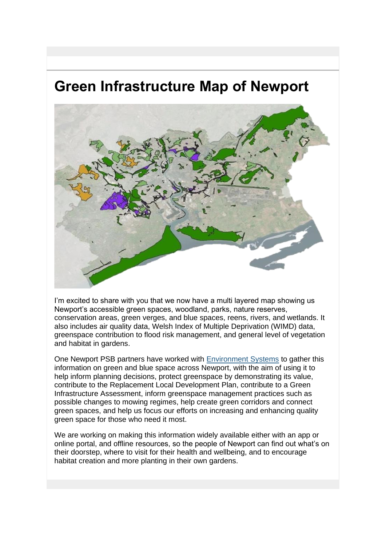## **Green Infrastructure Map of Newport**



I'm excited to share with you that we now have a multi layered map showing us Newport's accessible green spaces, woodland, parks, nature reserves, conservation areas, green verges, and blue spaces, reens, rivers, and wetlands. It also includes air quality data, Welsh Index of Multiple Deprivation (WIMD) data, greenspace contribution to flood risk management, and general level of vegetation and habitat in gardens.

One Newport PSB partners have worked with [Environment Systems](https://lnks.gd/l/eyJhbGciOiJIUzI1NiJ9.eyJidWxsZXRpbl9saW5rX2lkIjoxMjUsInVyaSI6ImJwMjpjbGljayIsImJ1bGxldGluX2lkIjoiMjAyMTA1MTguNDA2MzA0MDEiLCJ1cmwiOiJodHRwczovL3d3dy5lbnZzeXMuY28udWsvP3V0bV9tZWRpdW09ZW1haWwmdXRtX3NvdXJjZT1nb3ZkZWxpdmVyeSJ9.AEXlpyTNBmgHee0CqRa5pzToLH6WOU1BWHzQh0qt9bs/s/1296261428/br/106512169032-l) to gather this information on green and blue space across Newport, with the aim of using it to help inform planning decisions, protect greenspace by demonstrating its value, contribute to the Replacement Local Development Plan, contribute to a Green Infrastructure Assessment, inform greenspace management practices such as possible changes to mowing regimes, help create green corridors and connect green spaces, and help us focus our efforts on increasing and enhancing quality green space for those who need it most.

We are working on making this information widely available either with an app or online portal, and offline resources, so the people of Newport can find out what's on their doorstep, where to visit for their health and wellbeing, and to encourage habitat creation and more planting in their own gardens.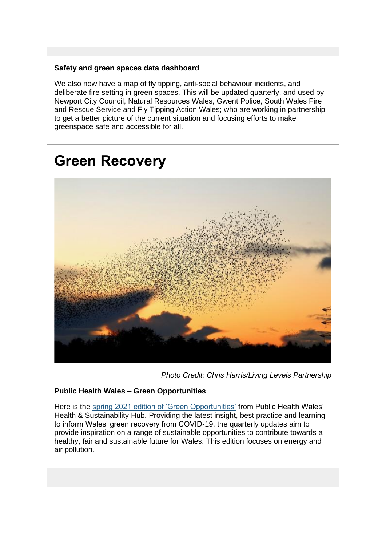#### **Safety and green spaces data dashboard**

We also now have a map of fly tipping, anti-social behaviour incidents, and deliberate fire setting in green spaces. This will be updated quarterly, and used by Newport City Council, Natural Resources Wales, Gwent Police, South Wales Fire and Rescue Service and Fly Tipping Action Wales; who are working in partnership to get a better picture of the current situation and focusing efforts to make greenspace safe and accessible for all.

## **Green Recovery**



*Photo Credit: Chris Harris/Living Levels Partnership*

#### **Public Health Wales – Green Opportunities**

Here is the [spring 2021 edition of 'Green Opportunities'](https://lnks.gd/l/eyJhbGciOiJIUzI1NiJ9.eyJidWxsZXRpbl9saW5rX2lkIjoxMjYsInVyaSI6ImJwMjpjbGljayIsImJ1bGxldGluX2lkIjoiMjAyMTA1MTguNDA2MzA0MDEiLCJ1cmwiOiJodHRwczovL3Bod3dob2NjLmNvLnVrL3Jlc291cmNlcy9ncmVlbi1vcHBvcnR1bml0aWVzLXNwcmluZy0yMDIxLz91dG1fbWVkaXVtPWVtYWlsJnV0bV9zb3VyY2U9Z292ZGVsaXZlcnkifQ.z2d7-ZxRucxJNY_IPQS-DTpW_4fvDPgZFybHesQQN4k/s/1296261428/br/106512169032-l) from Public Health Wales' Health & Sustainability Hub. Providing the latest insight, best practice and learning to inform Wales' green recovery from COVID-19, the quarterly updates aim to provide inspiration on a range of sustainable opportunities to contribute towards a healthy, fair and sustainable future for Wales. This edition focuses on energy and air pollution.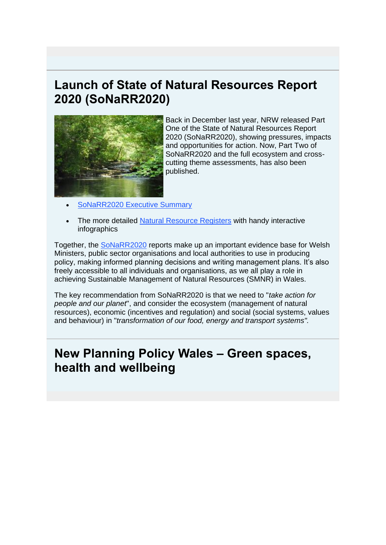## **Launch of State of Natural Resources Report 2020 (SoNaRR2020)**



Back in December last year, NRW released Part One of the State of Natural Resources Report 2020 (SoNaRR2020), showing pressures, impacts and opportunities for action. Now, Part Two of SoNaRR2020 and the full ecosystem and crosscutting theme assessments, has also been published.

- [SoNaRR2020 Executive Summary](https://lnks.gd/l/eyJhbGciOiJIUzI1NiJ9.eyJidWxsZXRpbl9saW5rX2lkIjoxMjcsInVyaSI6ImJwMjpjbGljayIsImJ1bGxldGluX2lkIjoiMjAyMTA1MTguNDA2MzA0MDEiLCJ1cmwiOiJodHRwczovL2Nkbi5jeWZvZXRobmF0dXJpb2wuY3ltcnUvbWVkaWEvNjkzMjA5L3NvbmFycjIwMjAtZXhlY3V0aXZlLXN1bW1hcnkucGRmP3V0bV9tZWRpdW09ZW1haWwmdXRtX3NvdXJjZT1nb3ZkZWxpdmVyeSJ9.0YnTF28czF3aH6nTeXdxB_HWY6UOshMsU6SLVUEBFWU/s/1296261428/br/106512169032-l)
- The more detailed [Natural Resource Registers](https://lnks.gd/l/eyJhbGciOiJIUzI1NiJ9.eyJidWxsZXRpbl9saW5rX2lkIjoxMjgsInVyaSI6ImJwMjpjbGljayIsImJ1bGxldGluX2lkIjoiMjAyMTA1MTguNDA2MzA0MDEiLCJ1cmwiOiJodHRwczovL25hdHVyYWxyZXNvdXJjZXMud2FsZXMvZXZpZGVuY2UtYW5kLWRhdGEvcmVzZWFyY2gtYW5kLXJlcG9ydHMvc3RhdGUtb2YtbmF0dXJhbC1yZXNvdXJjZXMtcmVwb3J0LXNvbmFyci1mb3Itd2FsZXMtMjAyMC9zb25hcnIyMDIwLW91ci1hc3Nlc3NtZW50L3NvbmFyci0yMDIwLW5hdHVyYWwtcmVzb3VyY2VzLXJlZ2lzdGVycy8_bGFuZz1lbiZ1dG1fbWVkaXVtPWVtYWlsJnV0bV9zb3VyY2U9Z292ZGVsaXZlcnkifQ.5GHcGlRjEfYV4YI-Gvk6W57dE5_0KO6lttDHnLOCr-Q/s/1296261428/br/106512169032-l) with handy interactive infographics

Together, the [SoNaRR2020](https://lnks.gd/l/eyJhbGciOiJIUzI1NiJ9.eyJidWxsZXRpbl9saW5rX2lkIjoxMjksInVyaSI6ImJwMjpjbGljayIsImJ1bGxldGluX2lkIjoiMjAyMTA1MTguNDA2MzA0MDEiLCJ1cmwiOiJodHRwczovL25hdHVyYWxyZXNvdXJjZXMud2FsZXMvZXZpZGVuY2UtYW5kLWRhdGEvcmVzZWFyY2gtYW5kLXJlcG9ydHMvc3RhdGUtb2YtbmF0dXJhbC1yZXNvdXJjZXMtcmVwb3J0LXNvbmFyci1mb3Itd2FsZXMtMjAyMC8_bGFuZz1lbiZ1dG1fbWVkaXVtPWVtYWlsJnV0bV9zb3VyY2U9Z292ZGVsaXZlcnkifQ.NB9snoJl1hL1npAoXBiK6cXhtlmz6iVvVGXNJyYkdJg/s/1296261428/br/106512169032-l) reports make up an important evidence base for Welsh Ministers, public sector organisations and local authorities to use in producing policy, making informed planning decisions and writing management plans. It's also freely accessible to all individuals and organisations, as we all play a role in achieving Sustainable Management of Natural Resources (SMNR) in Wales.

The key recommendation from SoNaRR2020 is that we need to "*take action for people and our planet*", and consider the ecosystem (management of natural resources), economic (incentives and regulation) and social (social systems, values and behaviour) in "*transformation of our food, energy and transport systems".*

### **New Planning Policy Wales – Green spaces, health and wellbeing**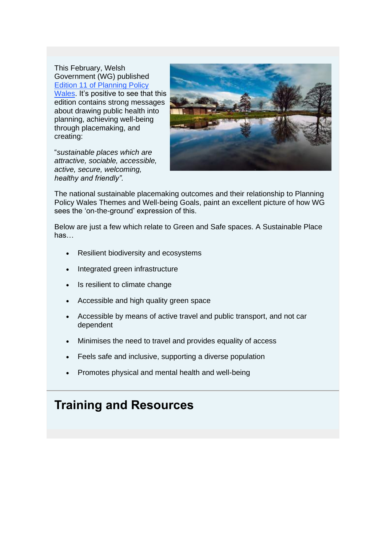This February, Welsh Government (WG) published [Edition 11 of Planning Policy](https://lnks.gd/l/eyJhbGciOiJIUzI1NiJ9.eyJidWxsZXRpbl9saW5rX2lkIjoxMzAsInVyaSI6ImJwMjpjbGljayIsImJ1bGxldGluX2lkIjoiMjAyMTA1MTguNDA2MzA0MDEiLCJ1cmwiOiJodHRwczovL2dvdi53YWxlcy9zaXRlcy9kZWZhdWx0L2ZpbGVzL3B1YmxpY2F0aW9ucy8yMDIxLTAyL3BsYW5uaW5nLXBvbGljeS13YWxlcy1lZGl0aW9uLTExXzAucGRmP3V0bV9tZWRpdW09ZW1haWwmdXRtX3NvdXJjZT1nb3ZkZWxpdmVyeSJ9.OhqUoZDjWyZQKZ8vyl4PBFDamt3MFnRrR37vauiD8BQ/s/1296261428/br/106512169032-l)  [Wales.](https://lnks.gd/l/eyJhbGciOiJIUzI1NiJ9.eyJidWxsZXRpbl9saW5rX2lkIjoxMzAsInVyaSI6ImJwMjpjbGljayIsImJ1bGxldGluX2lkIjoiMjAyMTA1MTguNDA2MzA0MDEiLCJ1cmwiOiJodHRwczovL2dvdi53YWxlcy9zaXRlcy9kZWZhdWx0L2ZpbGVzL3B1YmxpY2F0aW9ucy8yMDIxLTAyL3BsYW5uaW5nLXBvbGljeS13YWxlcy1lZGl0aW9uLTExXzAucGRmP3V0bV9tZWRpdW09ZW1haWwmdXRtX3NvdXJjZT1nb3ZkZWxpdmVyeSJ9.OhqUoZDjWyZQKZ8vyl4PBFDamt3MFnRrR37vauiD8BQ/s/1296261428/br/106512169032-l) It's positive to see that this edition contains strong messages about drawing public health into planning, achieving well-being through placemaking, and creating:

"*sustainable places which are attractive, sociable, accessible, active, secure, welcoming, healthy and friendly".*



The national sustainable placemaking outcomes and their relationship to Planning Policy Wales Themes and Well-being Goals, paint an excellent picture of how WG sees the 'on-the-ground' expression of this.

Below are just a few which relate to Green and Safe spaces. A Sustainable Place has…

- Resilient biodiversity and ecosystems
- Integrated green infrastructure
- Is resilient to climate change
- Accessible and high quality green space
- Accessible by means of active travel and public transport, and not car dependent
- Minimises the need to travel and provides equality of access
- Feels safe and inclusive, supporting a diverse population
- Promotes physical and mental health and well-being

### **Training and Resources**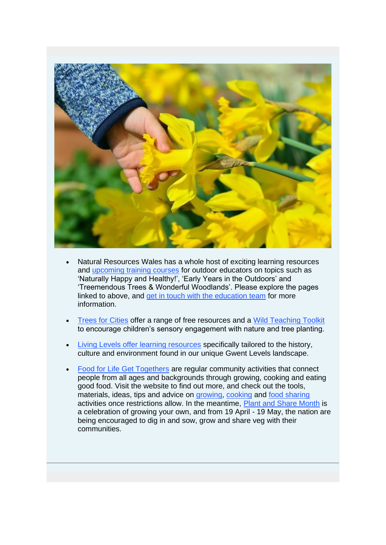

- Natural Resources Wales has a whole host of exciting learning resources and [upcoming training courses](https://lnks.gd/l/eyJhbGciOiJIUzI1NiJ9.eyJidWxsZXRpbl9saW5rX2lkIjoxMzEsInVyaSI6ImJwMjpjbGljayIsImJ1bGxldGluX2lkIjoiMjAyMTA1MTguNDA2MzA0MDEiLCJ1cmwiOiJodHRwczovL3RvY3luLmN5bXJ1L2VuL29yZ2FuaXNhdGlvbi9jNGJjODIzNC03Y2VjLTQ3OGEtYjIwMC1iOTIyMzNmZmIyMzk_dXRtX21lZGl1bT1lbWFpbCZ1dG1fc291cmNlPWdvdmRlbGl2ZXJ5In0.s_0QlkwZ6hMm81Zdc3cFvcGM_vKVDzoOi1noPw13uzw/s/1296261428/br/106512169032-l) for outdoor educators on topics such as 'Naturally Happy and Healthy!', 'Early Years in the Outdoors' and 'Treemendous Trees & Wonderful Woodlands'. Please explore the pages linked to above, and [get in touch with the education team](mailto:education@naturalresourceswales.gov.uk) for more information.
- [Trees for Cities](https://lnks.gd/l/eyJhbGciOiJIUzI1NiJ9.eyJidWxsZXRpbl9saW5rX2lkIjoxMzIsInVyaSI6ImJwMjpjbGljayIsImJ1bGxldGluX2lkIjoiMjAyMTA1MTguNDA2MzA0MDEiLCJ1cmwiOiJodHRwczovL3d3dy50cmVlc2ZvcmNpdGllcy5vcmcvb3VyLXdvcms_dXRtX21lZGl1bT1lbWFpbCZ1dG1fc291cmNlPWdvdmRlbGl2ZXJ5In0.2oh1XWzscA-qXkqOrvl4jAzSefXU-hfOUOt_fF9uDEM/s/1296261428/br/106512169032-l) offer a range of free resources and a [Wild Teaching Toolkit](https://lnks.gd/l/eyJhbGciOiJIUzI1NiJ9.eyJidWxsZXRpbl9saW5rX2lkIjoxMzMsInVyaSI6ImJwMjpjbGljayIsImJ1bGxldGluX2lkIjoiMjAyMTA1MTguNDA2MzA0MDEiLCJ1cmwiOiJodHRwczovL3d3dy50cmVlc2ZvcmNpdGllcy5vcmcvb3VyLXdvcmsvc2Nob29scy1wcm9ncmFtbWUvdHJlZS13b29kbGFuZC1uYXR1cmUtcmVzb3VyY2VzL3dpbGQtdGVhY2hpbmctdG9vbGtpdD91dG1fbWVkaXVtPWVtYWlsJnV0bV9zb3VyY2U9Z292ZGVsaXZlcnkifQ.YQ28UkHNSnDGeRGbukMgVM0u8_d_UiMnxOpeiDDfiT4/s/1296261428/br/106512169032-l) to encourage children's sensory engagement with nature and tree planting.
- [Living Levels offer learning resources](https://lnks.gd/l/eyJhbGciOiJIUzI1NiJ9.eyJidWxsZXRpbl9saW5rX2lkIjoxMzQsInVyaSI6ImJwMjpjbGljayIsImJ1bGxldGluX2lkIjoiMjAyMTA1MTguNDA2MzA0MDEiLCJ1cmwiOiJodHRwczovL3d3dy5saXZpbmdsZXZlbHMub3JnLnVrL2xlYXJuaW5nLXJlc291cmNlcz91dG1fbWVkaXVtPWVtYWlsJnV0bV9zb3VyY2U9Z292ZGVsaXZlcnkifQ.KFVHnsYvwQU2lvDNZcX2Z8sNIZ1mcS9CBB0ZnEFC7wk/s/1296261428/br/106512169032-l) specifically tailored to the history, culture and environment found in our unique Gwent Levels landscape.
- [Food for Life Get Togethers](https://lnks.gd/l/eyJhbGciOiJIUzI1NiJ9.eyJidWxsZXRpbl9saW5rX2lkIjoxMzUsInVyaSI6ImJwMjpjbGljayIsImJ1bGxldGluX2lkIjoiMjAyMTA1MTguNDA2MzA0MDEiLCJ1cmwiOiJodHRwczovL3d3dy5mZmxnZXR0b2dldGhlcnMub3JnLz91dG1fbWVkaXVtPWVtYWlsJnV0bV9zb3VyY2U9Z292ZGVsaXZlcnkifQ.BxxAXCJLwqmYuyu3H5s3X0sBUgsvOifY8eIfOovnPUU/s/1296261428/br/106512169032-l) are regular community activities that connect people from all ages and backgrounds through growing, cooking and eating good food. Visit the website to find out more, and check out the tools, materials, ideas, tips and advice on [growing,](https://lnks.gd/l/eyJhbGciOiJIUzI1NiJ9.eyJidWxsZXRpbl9saW5rX2lkIjoxMzYsInVyaSI6ImJwMjpjbGljayIsImJ1bGxldGluX2lkIjoiMjAyMTA1MTguNDA2MzA0MDEiLCJ1cmwiOiJodHRwczovL3d3dy5mZmxnZXR0b2dldGhlcnMub3JnL2dldC1pbnZvbHZlZC9yZXNvdXJjZXMvZ3Jvd2luZy8_dXRtX21lZGl1bT1lbWFpbCZ1dG1fc291cmNlPWdvdmRlbGl2ZXJ5In0.uZxaGyam7gcpum0HQ7ilryTL0jew7aWOTwqbO-Lxbcs/s/1296261428/br/106512169032-l) [cooking](https://lnks.gd/l/eyJhbGciOiJIUzI1NiJ9.eyJidWxsZXRpbl9saW5rX2lkIjoxMzcsInVyaSI6ImJwMjpjbGljayIsImJ1bGxldGluX2lkIjoiMjAyMTA1MTguNDA2MzA0MDEiLCJ1cmwiOiJodHRwczovL3d3dy5mZmxnZXR0b2dldGhlcnMub3JnL2dldC1pbnZvbHZlZC9yZXNvdXJjZXMvY29va2luZy8_dXRtX21lZGl1bT1lbWFpbCZ1dG1fc291cmNlPWdvdmRlbGl2ZXJ5In0.IsOxe94-RySPs0gwGihMBP3DCo1i_VWtX6pO0QOE1eo/s/1296261428/br/106512169032-l) and [food sharing](https://lnks.gd/l/eyJhbGciOiJIUzI1NiJ9.eyJidWxsZXRpbl9saW5rX2lkIjoxMzgsInVyaSI6ImJwMjpjbGljayIsImJ1bGxldGluX2lkIjoiMjAyMTA1MTguNDA2MzA0MDEiLCJ1cmwiOiJodHRwczovL3d3dy5mZmxnZXR0b2dldGhlcnMub3JnL2dldC1pbnZvbHZlZC9yZXNvdXJjZXMvc2hhcmluZy8_dXRtX21lZGl1bT1lbWFpbCZ1dG1fc291cmNlPWdvdmRlbGl2ZXJ5In0.JCUKh6NrpnO3NsS-lymI1OpMsQcq5BuZruwmhvIjwJg/s/1296261428/br/106512169032-l) activities once restrictions allow. In the meantime, [Plant and Share Month](https://lnks.gd/l/eyJhbGciOiJIUzI1NiJ9.eyJidWxsZXRpbl9saW5rX2lkIjoxMzksInVyaSI6ImJwMjpjbGljayIsImJ1bGxldGluX2lkIjoiMjAyMTA1MTguNDA2MzA0MDEiLCJ1cmwiOiJodHRwczovL3d3dy5mZmxnZXR0b2dldGhlcnMub3JnL291ci1ldmVudHMvcGxhbnQtYW5kLXNoYXJlLW1vbnRoLz91dG1fbWVkaXVtPWVtYWlsJnV0bV9zb3VyY2U9Z292ZGVsaXZlcnkifQ.D1aEs-kb-_zqFmKn2nMoNBW9KgU9OqRLLwk5Sc7Wt-4/s/1296261428/br/106512169032-l) is a celebration of growing your own, and from 19 April - 19 May, the nation are being encouraged to dig in and sow, grow and share veg with their communities.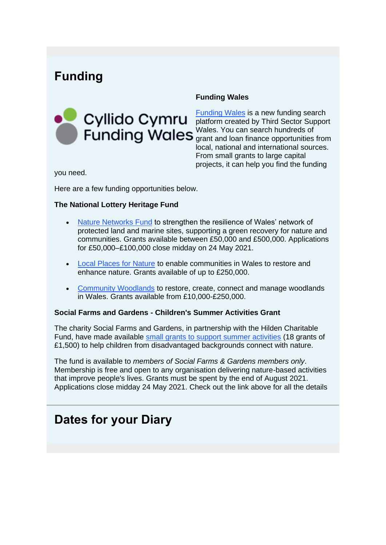## **Funding**



#### **Funding Wales**

[Funding Wales](https://lnks.gd/l/eyJhbGciOiJIUzI1NiJ9.eyJidWxsZXRpbl9saW5rX2lkIjoxNDAsInVyaSI6ImJwMjpjbGljayIsImJ1bGxldGluX2lkIjoiMjAyMTA1MTguNDA2MzA0MDEiLCJ1cmwiOiJodHRwczovL2Z1bmRpbmcuY3ltcnUvP3V0bV9tZWRpdW09ZW1haWwmdXRtX3NvdXJjZT1nb3ZkZWxpdmVyeSJ9.FsTOcOovC5tx8KAoQKoMTRlI7ELg3orxzsmxv1WOejQ/s/1296261428/br/106512169032-l) is a new funding search platform created by Third Sector Support Wales. You can search hundreds of grant and loan finance opportunities from local, national and international sources. From small grants to large capital projects, it can help you find the funding

you need.

Here are a few funding opportunities below.

#### **The National Lottery Heritage Fund**

- [Nature Networks Fund](https://lnks.gd/l/eyJhbGciOiJIUzI1NiJ9.eyJidWxsZXRpbl9saW5rX2lkIjoxNDEsInVyaSI6ImJwMjpjbGljayIsImJ1bGxldGluX2lkIjoiMjAyMTA1MTguNDA2MzA0MDEiLCJ1cmwiOiJodHRwczovL3d3dy5oZXJpdGFnZWZ1bmQub3JnLnVrL2Z1bmRpbmcvbmF0dXJlLW5ldHdvcmtzLWZ1bmQ_dXRtX21lZGl1bT1lbWFpbCZ1dG1fc291cmNlPWdvdmRlbGl2ZXJ5In0.vFWoCVd7pj31POBqolwVQo8TDlZ4FH1V1pwTXpB4Ej8/s/1296261428/br/106512169032-l) to strengthen the resilience of Wales' network of protected land and marine sites, supporting a green recovery for nature and communities. Grants available between £50,000 and £500,000. Applications for £50,000–£100,000 close midday on 24 May 2021.
- **[Local Places for Nature](https://lnks.gd/l/eyJhbGciOiJIUzI1NiJ9.eyJidWxsZXRpbl9saW5rX2lkIjoxNDIsInVyaSI6ImJwMjpjbGljayIsImJ1bGxldGluX2lkIjoiMjAyMTA1MTguNDA2MzA0MDEiLCJ1cmwiOiJodHRwczovL3d3dy5oZXJpdGFnZWZ1bmQub3JnLnVrL2Z1bmRpbmcvbG9jYWwtcGxhY2VzLW5hdHVyZT91dG1fbWVkaXVtPWVtYWlsJnV0bV9zb3VyY2U9Z292ZGVsaXZlcnkifQ.uEdYHZAyLKcwkB-8xcq4sXYf9KnVHyyVq5NMIgB32N8/s/1296261428/br/106512169032-l) to enable communities in Wales to restore and** enhance nature. Grants available of up to £250,000.
- [Community Woodlands](https://lnks.gd/l/eyJhbGciOiJIUzI1NiJ9.eyJidWxsZXRpbl9saW5rX2lkIjoxNDMsInVyaSI6ImJwMjpjbGljayIsImJ1bGxldGluX2lkIjoiMjAyMTA1MTguNDA2MzA0MDEiLCJ1cmwiOiJodHRwczovL3d3dy5oZXJpdGFnZWZ1bmQub3JnLnVrL2Z1bmRpbmcvY29tbXVuaXR5LXdvb2RsYW5kcz91dG1fbWVkaXVtPWVtYWlsJnV0bV9zb3VyY2U9Z292ZGVsaXZlcnkifQ.UwFf-uIFlSbX03PXWNh9GwVlgVpjWfywi1nIPLRZaLk/s/1296261428/br/106512169032-l) to restore, create, connect and manage woodlands in Wales. Grants available from £10,000-£250,000.

#### **Social Farms and Gardens - Children's Summer Activities Grant**

The charity Social Farms and Gardens, in partnership with the Hilden Charitable Fund, have made available [small grants to support summer activities](https://lnks.gd/l/eyJhbGciOiJIUzI1NiJ9.eyJidWxsZXRpbl9saW5rX2lkIjoxNDQsInVyaSI6ImJwMjpjbGljayIsImJ1bGxldGluX2lkIjoiMjAyMTA1MTguNDA2MzA0MDEiLCJ1cmwiOiJodHRwczovL3d3dy5mYXJtZ2FyZGVuLm9yZy51ay9qb2luLXVzL2NvbXBldGl0aW9ucy1hbmQtb3Bwb3J0dW5pdGllcy1vdXItbWVtYmVyc2hpcD91dG1fbWVkaXVtPWVtYWlsJnV0bV9zb3VyY2U9Z292ZGVsaXZlcnkifQ.DKj6C7uhdmhe6yf1PtUTnCa8bFbudQAaXPziJwotfco/s/1296261428/br/106512169032-l) (18 grants of £1,500) to help children from disadvantaged backgrounds connect with nature.

The fund is available to *members of Social Farms & Gardens members only*. Membership is free and open to any organisation delivering nature-based activities that improve people's lives. Grants must be spent by the end of August 2021. Applications close midday 24 May 2021. Check out the link above for all the details

## **Dates for your Diary**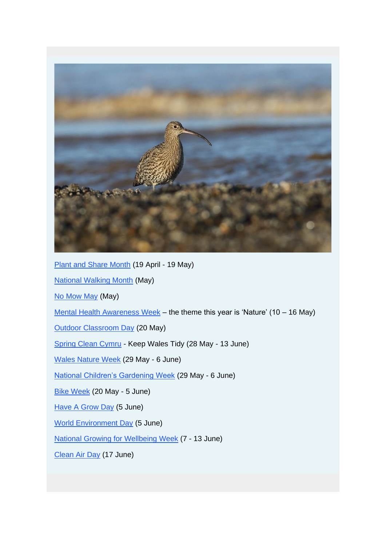

[Plant and Share Month](https://lnks.gd/l/eyJhbGciOiJIUzI1NiJ9.eyJidWxsZXRpbl9saW5rX2lkIjoxNDUsInVyaSI6ImJwMjpjbGljayIsImJ1bGxldGluX2lkIjoiMjAyMTA1MTguNDA2MzA0MDEiLCJ1cmwiOiJodHRwczovL3d3dy5mZmxnZXR0b2dldGhlcnMub3JnL291ci1ldmVudHMvcGxhbnQtYW5kLXNoYXJlLW1vbnRoLz91dG1fbWVkaXVtPWVtYWlsJnV0bV9zb3VyY2U9Z292ZGVsaXZlcnkifQ.UzRdoWyiaycTCl54UbuhAKPQ77itN-0PH7zQrYJTA_Q/s/1296261428/br/106512169032-l) (19 April - 19 May) [National Walking Month](https://lnks.gd/l/eyJhbGciOiJIUzI1NiJ9.eyJidWxsZXRpbl9saW5rX2lkIjoxNDYsInVyaSI6ImJwMjpjbGljayIsImJ1bGxldGluX2lkIjoiMjAyMTA1MTguNDA2MzA0MDEiLCJ1cmwiOiJodHRwczovL3d3dy5saXZpbmdzdHJlZXRzLm9yZy51ay9nZXQtaW52b2x2ZWQvY2FtcGFpZ24td2l0aC11cy9uYXRpb25hbC13YWxraW5nLW1vbnRoP3V0bV9tZWRpdW09ZW1haWwmdXRtX3NvdXJjZT1nb3ZkZWxpdmVyeSJ9.ApOpARRl4GSEvdILt3wHkHgxwqfrVgi-_9XqBXr5psw/s/1296261428/br/106512169032-l) (May) [No Mow May](https://lnks.gd/l/eyJhbGciOiJIUzI1NiJ9.eyJidWxsZXRpbl9saW5rX2lkIjoxNDcsInVyaSI6ImJwMjpjbGljayIsImJ1bGxldGluX2lkIjoiMjAyMTA1MTguNDA2MzA0MDEiLCJ1cmwiOiJodHRwczovL3d3dy5wbGFudGxpZmUub3JnLnVrL3VrL2Rpc2NvdmVyLXdpbGQtcGxhbnRzLW5hdHVyZS9uby1tb3ctbWF5P3V0bV9tZWRpdW09ZW1haWwmdXRtX3NvdXJjZT1nb3ZkZWxpdmVyeSJ9.uSJ-LxrHyPfydDZmtSNQkaYPfwW8Oxt6OiZJmvEVhDw/s/1296261428/br/106512169032-l) (May) [Mental Health Awareness Week](https://lnks.gd/l/eyJhbGciOiJIUzI1NiJ9.eyJidWxsZXRpbl9saW5rX2lkIjoxNDgsInVyaSI6ImJwMjpjbGljayIsImJ1bGxldGluX2lkIjoiMjAyMTA1MTguNDA2MzA0MDEiLCJ1cmwiOiJodHRwczovL3d3dy5tZW50YWxoZWFsdGgub3JnLnVrL2NhbXBhaWducy9tZW50YWwtaGVhbHRoLWF3YXJlbmVzcy13ZWVrP3V0bV9tZWRpdW09ZW1haWwmdXRtX3NvdXJjZT1nb3ZkZWxpdmVyeSJ9.f8qyQo6tDX0hoTCyhf8omkUDPlrvcPcPbNNt5Tr8jhE/s/1296261428/br/106512169032-l) – the theme this year is 'Nature' (10 – 16 May) [Outdoor Classroom Day](https://lnks.gd/l/eyJhbGciOiJIUzI1NiJ9.eyJidWxsZXRpbl9saW5rX2lkIjoxNDksInVyaSI6ImJwMjpjbGljayIsImJ1bGxldGluX2lkIjoiMjAyMTA1MTguNDA2MzA0MDEiLCJ1cmwiOiJodHRwczovL3d3dy5wbGF5d2FsZXMub3JnLnVrL2VuZy9ldmVudHMvNjQ3P3V0bV9tZWRpdW09ZW1haWwmdXRtX3NvdXJjZT1nb3ZkZWxpdmVyeSJ9.yGS3U8YPui4PMPPO9HVyBrQ0LgCKj6jQj8blPP-79QE/s/1296261428/br/106512169032-l) (20 May) [Spring Clean Cymru](https://lnks.gd/l/eyJhbGciOiJIUzI1NiJ9.eyJidWxsZXRpbl9saW5rX2lkIjoxNTAsInVyaSI6ImJwMjpjbGljayIsImJ1bGxldGluX2lkIjoiMjAyMTA1MTguNDA2MzA0MDEiLCJ1cmwiOiJodHRwczovL3d3dy5rZWVwd2FsZXN0aWR5LmN5bXJ1L3BhZ2VzL2NhdGVnb3J5L3NwcmluZy1jbGVhbi1jeW1ydT91dG1fbWVkaXVtPWVtYWlsJnV0bV9zb3VyY2U9Z292ZGVsaXZlcnkifQ.pPwxVpsEEaj63IahaX2kFQ_Dv6SBQ0yXK9_4JUgIgC8/s/1296261428/br/106512169032-l) - Keep Wales Tidy (28 May - 13 June) [Wales Nature Week](https://lnks.gd/l/eyJhbGciOiJIUzI1NiJ9.eyJidWxsZXRpbl9saW5rX2lkIjoxNTEsInVyaSI6ImJwMjpjbGljayIsImJ1bGxldGluX2lkIjoiMjAyMTA1MTguNDA2MzA0MDEiLCJ1cmwiOiJodHRwczovL3d3dy5iaW9kaXZlcnNpdHl3YWxlcy5vcmcudWsvV2FsZXMtTmF0dXJlLVdlZWs_dXRtX21lZGl1bT1lbWFpbCZ1dG1fc291cmNlPWdvdmRlbGl2ZXJ5In0.B0m1Z-m2Srqfx7r7jrr2GhXCiZL_jL_iihjqAZNFSts/s/1296261428/br/106512169032-l) (29 May - 6 June) [National Children's Gardening Week](https://lnks.gd/l/eyJhbGciOiJIUzI1NiJ9.eyJidWxsZXRpbl9saW5rX2lkIjoxNTIsInVyaSI6ImJwMjpjbGljayIsImJ1bGxldGluX2lkIjoiMjAyMTA1MTguNDA2MzA0MDEiLCJ1cmwiOiJodHRwczovL3d3dy5jaGlsZHJlbnNnYXJkZW5pbmd3ZWVrLmNvLnVrLz91dG1fbWVkaXVtPWVtYWlsJnV0bV9zb3VyY2U9Z292ZGVsaXZlcnkifQ.Qb_G8v5u-CzSULvqSwcDHD4xK9qgdcdXWFGPFrqH4ps/s/1296261428/br/106512169032-l) (29 May - 6 June) [Bike Week](https://lnks.gd/l/eyJhbGciOiJIUzI1NiJ9.eyJidWxsZXRpbl9saW5rX2lkIjoxNTMsInVyaSI6ImJwMjpjbGljayIsImJ1bGxldGluX2lkIjoiMjAyMTA1MTguNDA2MzA0MDEiLCJ1cmwiOiJodHRwczovL3d3dy5jeWNsaW5ndWsub3JnL2Jpa2V3ZWVrP3V0bV9tZWRpdW09ZW1haWwmdXRtX3NvdXJjZT1nb3ZkZWxpdmVyeSJ9.LMCFOuAZhvm3pB7LE78keBNVWsuIk08EZOq1TAsAhUU/s/1296261428/br/106512169032-l) (20 May - 5 June) [Have A Grow Day](https://lnks.gd/l/eyJhbGciOiJIUzI1NiJ9.eyJidWxsZXRpbl9saW5rX2lkIjoxNTQsInVyaSI6ImJwMjpjbGljayIsImJ1bGxldGluX2lkIjoiMjAyMTA1MTguNDA2MzA0MDEiLCJ1cmwiOiJodHRwczovL3d3dy5mYXJtZ2FyZGVuLm9yZy51ay9odHRwcyUzQS93d3cuZmFybWdhcmRlbi5vcmcudWsvb3VyLXdvcmsvdHJhaW5pbmctZXZlbnRzLXdvcmtzaG9wcy9oYXZlLWdyb3ctZGF5LTIwMjE_dXRtX21lZGl1bT1lbWFpbCZ1dG1fc291cmNlPWdvdmRlbGl2ZXJ5In0._okaNstNZ8yiEdnnUPRb-8Yckjecv8flKqYKONonLhc/s/1296261428/br/106512169032-l) (5 June) [World Environment Day](https://lnks.gd/l/eyJhbGciOiJIUzI1NiJ9.eyJidWxsZXRpbl9saW5rX2lkIjoxNTUsInVyaSI6ImJwMjpjbGljayIsImJ1bGxldGluX2lkIjoiMjAyMTA1MTguNDA2MzA0MDEiLCJ1cmwiOiJodHRwczovL3d3dy53b3JsZGVudmlyb25tZW50ZGF5Lmdsb2JhbC8_dXRtX21lZGl1bT1lbWFpbCZ1dG1fc291cmNlPWdvdmRlbGl2ZXJ5In0.E6RC4tEoXr3gvN8pf3ks5wohI3Cj-mkRkZiWmWzLj5E/s/1296261428/br/106512169032-l) (5 June) [National Growing for Wellbeing Week](https://lnks.gd/l/eyJhbGciOiJIUzI1NiJ9.eyJidWxsZXRpbl9saW5rX2lkIjoxNTYsInVyaSI6ImJwMjpjbGljayIsImJ1bGxldGluX2lkIjoiMjAyMTA1MTguNDA2MzA0MDEiLCJ1cmwiOiJodHRwczovL2xpZmVhdG5vMjcuY29tL25hdGlvbmFsLWdyb3dpbmctZm9yLXdlbGxiZWluZy13ZWVrLz91dG1fbWVkaXVtPWVtYWlsJnV0bV9zb3VyY2U9Z292ZGVsaXZlcnkifQ.m3wlbvddwEQ-GH9jqisN_1rn59-4IK49CCQBCcCrLJ8/s/1296261428/br/106512169032-l) (7 - 13 June) [Clean Air Day](https://lnks.gd/l/eyJhbGciOiJIUzI1NiJ9.eyJidWxsZXRpbl9saW5rX2lkIjoxNTcsInVyaSI6ImJwMjpjbGljayIsImJ1bGxldGluX2lkIjoiMjAyMTA1MTguNDA2MzA0MDEiLCJ1cmwiOiJodHRwczovL3d3dy5jbGVhbmFpcmRheS5vcmcudWsvP3V0bV9tZWRpdW09ZW1haWwmdXRtX3NvdXJjZT1nb3ZkZWxpdmVyeSJ9._jmWfWoJvnyLefCmQcUmB3-BK37f7rdlsCPjErQhRJk/s/1296261428/br/106512169032-l) (17 June)